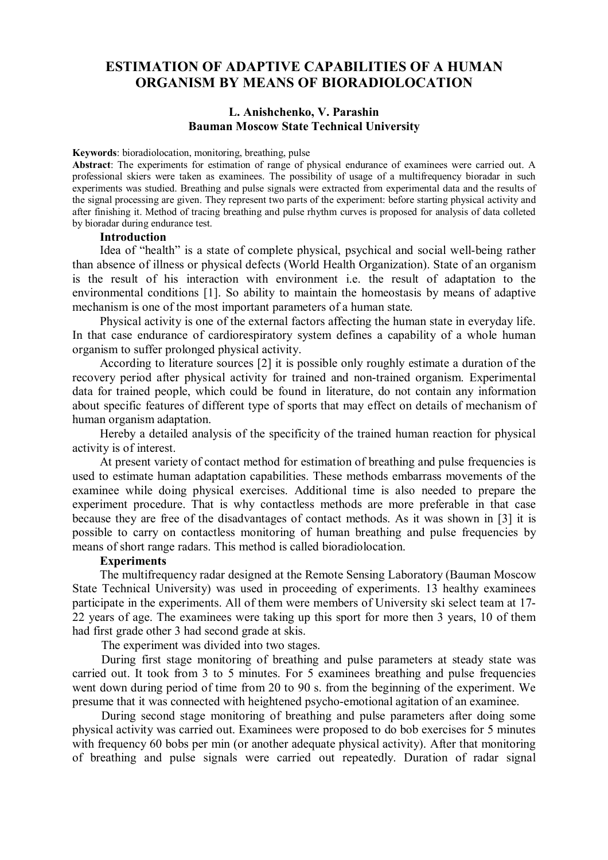# **ESTIMATION OF ADAPTIVE CAPABILITIES OF A HUMAN ORGANISM BY MEANS OF BIORADIOLOCATION**

## **L. Anishchenko, V. Parashin Bauman Moscow State Technical University**

**Keywords**: bioradiolocation, monitoring, breathing, pulse

**Abstract**: The experiments for estimation of range of physical endurance of examinees were carried out. A professional skiers were taken as examinees. The possibility of usage of a multifrequency bioradar in such experiments was studied. Breathing and pulse signals were extracted from experimental data and the results of the signal processing are given. They represent two parts of the experiment: before starting physical activity and after finishing it. Method of tracing breathing and pulse rhythm curves is proposed for analysis of data colleted by bioradar during endurance test.

## **Introduction**

Idea of "health" is a state of complete physical, psychical and social well-being rather than absence of illness or physical defects (World Health Organization). State of an organism is the result of his interaction with environment i.e. the result of adaptation to the environmental conditions [1]. So ability to maintain the homeostasis by means of adaptive mechanism is one of the most important parameters of a human state.

Physical activity is one of the external factors affecting the human state in everyday life. In that case endurance of cardiorespiratory system defines a capability of a whole human organism to suffer prolonged physical activity.

According to literature sources [2] it is possible only roughly estimate a duration of the recovery period after physical activity for trained and non-trained organism. Experimental data for trained people, which could be found in literature, do not contain any information about specific features of different type of sports that may effect on details of mechanism of human organism adaptation.

Hereby a detailed analysis of the specificity of the trained human reaction for physical activity is of interest.

At present variety of contact method for estimation of breathing and pulse frequencies is used to estimate human adaptation capabilities. These methods embarrass movements of the examinee while doing physical exercises. Additional time is also needed to prepare the experiment procedure. That is why contactless methods are more preferable in that case because they are free of the disadvantages of contact methods. As it was shown in [3] it is possible to carry on contactless monitoring of human breathing and pulse frequencies by means of short range radars. This method is called bioradiolocation.

#### **Experiments**

The multifrequency radar designed at the Remote Sensing Laboratory (Bauman Moscow State Technical University) was used in proceeding of experiments. 13 healthy examinees participate in the experiments. All of them were members of University ski select team at 17- 22 years of age. The examinees were taking up this sport for more then 3 years, 10 of them had first grade other 3 had second grade at skis.

The experiment was divided into two stages.

During first stage monitoring of breathing and pulse parameters at steady state was carried out. It took from 3 to 5 minutes. For 5 examinees breathing and pulse frequencies went down during period of time from 20 to 90 s. from the beginning of the experiment. We presume that it was connected with heightened psycho-emotional agitation of an examinee.

During second stage monitoring of breathing and pulse parameters after doing some physical activity was carried out. Examinees were proposed to do bob exercises for 5 minutes with frequency 60 bobs per min (or another adequate physical activity). After that monitoring of breathing and pulse signals were carried out repeatedly. Duration of radar signal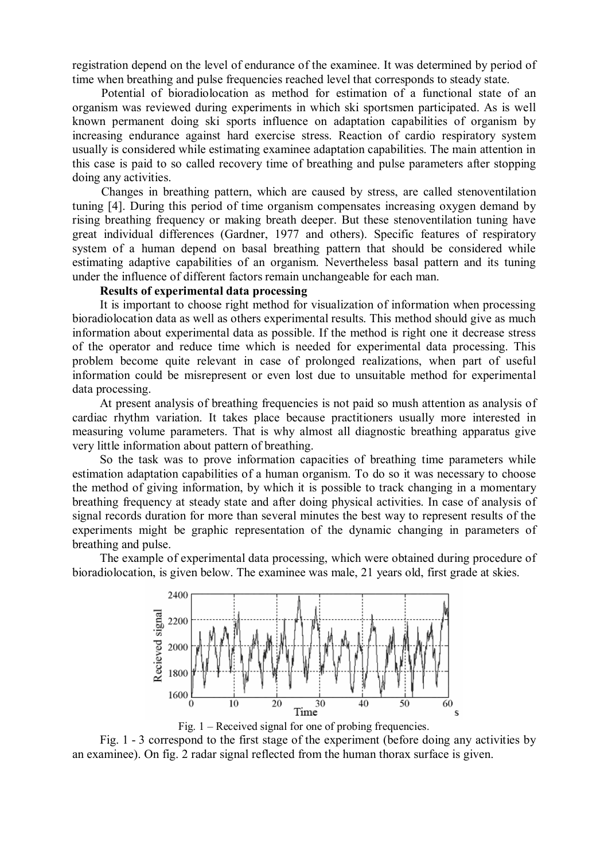registration depend on the level of endurance of the examinee. It was determined by period of time when breathing and pulse frequencies reached level that corresponds to steady state.

Potential of bioradiolocation as method for estimation of a functional state of an organism was reviewed during experiments in which ski sportsmen participated. As is well known permanent doing ski sports influence on adaptation capabilities of organism by increasing endurance against hard exercise stress. Reaction of cardio respiratory system usually is considered while estimating examinee adaptation capabilities. The main attention in this case is paid to so called recovery time of breathing and pulse parameters after stopping doing any activities.

Changes in breathing pattern, which are caused by stress, are called stenoventilation tuning [4]. During this period of time organism compensates increasing oxygen demand by rising breathing frequency or making breath deeper. But these stenoventilation tuning have great individual differences (Gardner, 1977 and others). Specific features of respiratory system of a human depend on basal breathing pattern that should be considered while estimating adaptive capabilities of an organism. Nevertheless basal pattern and its tuning under the influence of different factors remain unchangeable for each man.

# **Results of experimental data processing**

It is important to choose right method for visualization of information when processing bioradiolocation data as well as others experimental results. This method should give as much information about experimental data as possible. If the method is right one it decrease stress of the operator and reduce time which is needed for experimental data processing. This problem become quite relevant in case of prolonged realizations, when part of useful information could be misrepresent or even lost due to unsuitable method for experimental data processing.

At present analysis of breathing frequencies is not paid so mush attention as analysis of cardiac rhythm variation. It takes place because practitioners usually more interested in measuring volume parameters. That is why almost all diagnostic breathing apparatus give very little information about pattern of breathing.

So the task was to prove information capacities of breathing time parameters while estimation adaptation capabilities of a human organism. To do so it was necessary to choose the method of giving information, by which it is possible to track changing in a momentary breathing frequency at steady state and after doing physical activities. In case of analysis of signal records duration for more than several minutes the best way to represent results of the experiments might be graphic representation of the dynamic changing in parameters of breathing and pulse.

The example of experimental data processing, which were obtained during procedure of bioradiolocation, is given below. The examinee was male, 21 years old, first grade at skies.



Fig. 1 – Received signal for one of probing frequencies.

Fig. 1 - 3 correspond to the first stage of the experiment (before doing any activities by an examinee). On fig. 2 radar signal reflected from the human thorax surface is given.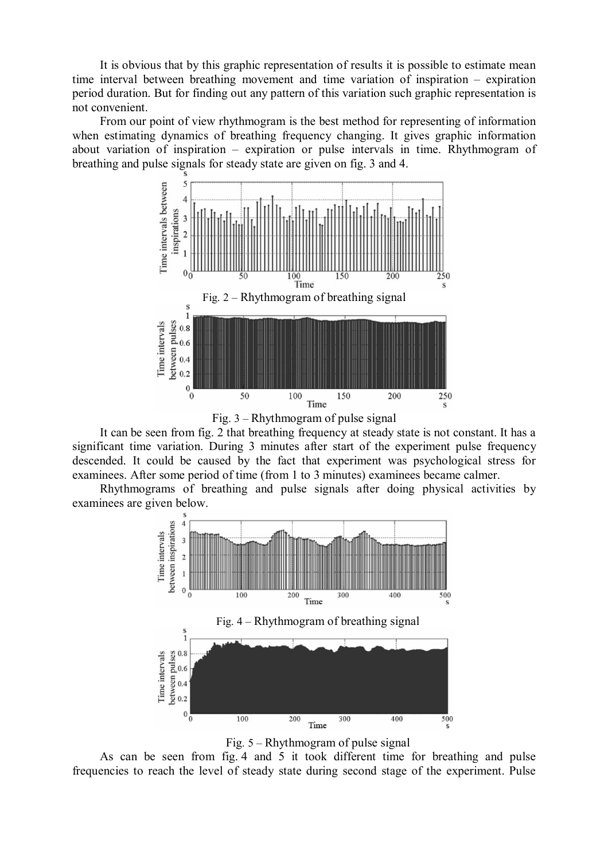It is obvious that by this graphic representation of results it is possible to estimate mean time interval between breathing movement and time variation of inspiration – expiration period duration. But for finding out any pattern of this variation such graphic representation is not convenient.

From our point of view rhythmogram is the best method for representing of information when estimating dynamics of breathing frequency changing. It gives graphic information about variation of inspiration – expiration or pulse intervals in time. Rhythmogram of breathing and pulse signals for steady state are given on fig. 3 and 4.





It can be seen from fig. 2 that breathing frequency at steady state is not constant. It has a significant time variation. During 3 minutes after start of the experiment pulse frequency descended. It could be caused by the fact that experiment was psychological stress for examinees. After some period of time (from 1 to 3 minutes) examinees became calmer.

Rhythmograms of breathing and pulse signals after doing physical activities by examinees are given below.



Fig. 5 – Rhythmogram of pulse signal

As can be seen from fig. 4 and 5 it took different time for breathing and pulse frequencies to reach the level of steady state during second stage of the experiment. Pulse